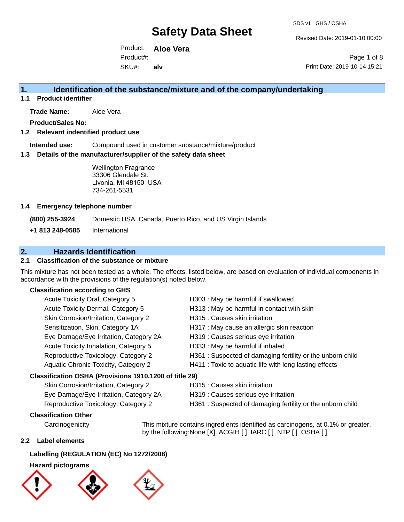Revised Date: 2019-01-10 00:00

Product: **Aloe Vera** SKU#: Product#: **alv**

Page 1 of 8 Print Date: 2019-10-14 15:21

### **1. Identification of the substance/mixture and of the company/undertaking**

**1.1 Product identifier**

**Trade Name:** Aloe Vera

**Product/Sales No:**

#### **1.2 Relevant indentified product use**

**Intended use:** Compound used in customer substance/mixture/product

#### **1.3 Details of the manufacturer/supplier of the safety data sheet**

Wellington Fragrance 33306 Glendale St. Livonia, MI 48150 USA 734-261-5531

#### **1.4 Emergency telephone number**

**(800) 255-3924** Domestic USA, Canada, Puerto Rico, and US Virgin Islands

**+1 813 248-0585** International

### **2. Hazards Identification**

#### **2.1 Classification of the substance or mixture**

This mixture has not been tested as a whole. The effects, listed below, are based on evaluation of individual components in accordance with the provisions of the regulation(s) noted below.

#### **Classification according to GHS**

| Acute Toxicity Oral, Category 5                        | H303 : May be harmful if swallowed                         |
|--------------------------------------------------------|------------------------------------------------------------|
| Acute Toxicity Dermal, Category 5                      | H313 : May be harmful in contact with skin                 |
| Skin Corrosion/Irritation, Category 2                  | H315 : Causes skin irritation                              |
| Sensitization, Skin, Category 1A                       | H317 : May cause an allergic skin reaction                 |
| Eye Damage/Eye Irritation, Category 2A                 | H319 : Causes serious eye irritation                       |
| Acute Toxicity Inhalation, Category 5                  | H333: May be harmful if inhaled                            |
| Reproductive Toxicology, Category 2                    | H361 : Suspected of damaging fertility or the unborn child |
| <b>Aquatic Chronic Toxicity, Category 2</b>            | H411 : Toxic to aquatic life with long lasting effects     |
| Classification OSHA (Provisions 1910.1200 of title 29) |                                                            |
|                                                        |                                                            |

| Skin Corrosion/Irritation, Category 2  |  |
|----------------------------------------|--|
| Eye Damage/Eye Irritation, Category 2A |  |
| Reproductive Toxicology, Category 2    |  |

- I315 : Causes skin irritation
- 1319 : Causes serious eye irritation
- Reproductive Toxicology 2613 H361 : Suspected of damaging fertility or the unborn child

#### **Classification Other**

Carcinogenicity This mixture contains ingredients identified as carcinogens, at 0.1% or greater, by the following:None [X] ACGIH [ ] IARC [ ] NTP [ ] OSHA [ ]

#### **2.2 Label elements**

#### **Labelling (REGULATION (EC) No 1272/2008)**

#### **Hazard pictograms**





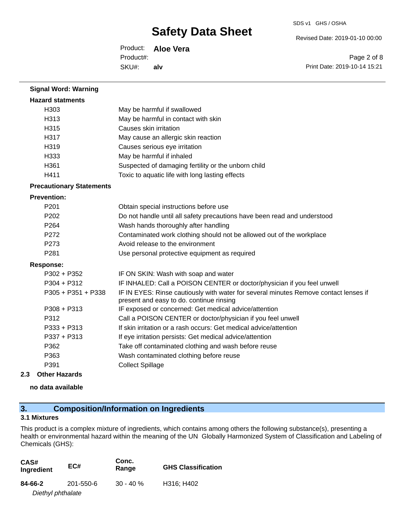Revised Date: 2019-01-10 00:00

Product: **Aloe Vera** SKU#: Product#: **alv**

Page 2 of 8 Print Date: 2019-10-14 15:21

| <b>Hazard statments</b>         |                                                                                                                                  |
|---------------------------------|----------------------------------------------------------------------------------------------------------------------------------|
| H303                            | May be harmful if swallowed                                                                                                      |
| H313                            | May be harmful in contact with skin                                                                                              |
| H315                            | Causes skin irritation                                                                                                           |
| H317                            | May cause an allergic skin reaction                                                                                              |
| H319                            | Causes serious eye irritation                                                                                                    |
| H333                            | May be harmful if inhaled                                                                                                        |
| H361                            | Suspected of damaging fertility or the unborn child                                                                              |
| H411                            | Toxic to aquatic life with long lasting effects                                                                                  |
| <b>Precautionary Statements</b> |                                                                                                                                  |
| <b>Prevention:</b>              |                                                                                                                                  |
| P201                            | Obtain special instructions before use                                                                                           |
| P202                            | Do not handle until all safety precautions have been read and understood                                                         |
| P <sub>264</sub>                | Wash hands thoroughly after handling                                                                                             |
| P272                            | Contaminated work clothing should not be allowed out of the workplace                                                            |
| P273                            | Avoid release to the environment                                                                                                 |
| P281                            | Use personal protective equipment as required                                                                                    |
| <b>Response:</b>                |                                                                                                                                  |
| P302 + P352                     | IF ON SKIN: Wash with soap and water                                                                                             |
| $P304 + P312$                   | IF INHALED: Call a POISON CENTER or doctor/physician if you feel unwell                                                          |
| P305 + P351 + P338              | IF IN EYES: Rinse cautiously with water for several minutes Remove contact lenses if<br>present and easy to do. continue rinsing |
| P308 + P313                     | IF exposed or concerned: Get medical advice/attention                                                                            |
| P312                            | Call a POISON CENTER or doctor/physician if you feel unwell                                                                      |
| $P333 + P313$                   | If skin irritation or a rash occurs: Get medical advice/attention                                                                |
| P337 + P313                     | If eye irritation persists: Get medical advice/attention                                                                         |
| P362                            | Take off contaminated clothing and wash before reuse                                                                             |
| P363                            | Wash contaminated clothing before reuse                                                                                          |
| P391                            | <b>Collect Spillage</b>                                                                                                          |
| 2.3<br><b>Other Hazards</b>     |                                                                                                                                  |

**no data available**

**Signal Word: Warning**

### **3. Composition/Information on Ingredients**

#### **3.1 Mixtures**

This product is a complex mixture of ingredients, which contains among others the following substance(s), presenting a health or environmental hazard within the meaning of the UN Globally Harmonized System of Classification and Labeling of Chemicals (GHS):

| CAS#<br>Ingredient | EC#       | Conc.<br>Range | <b>GHS Classification</b> |
|--------------------|-----------|----------------|---------------------------|
| 84-66-2            | 201-550-6 | $30 - 40 \%$   | H316; H402                |
| Diethyl phthalate  |           |                |                           |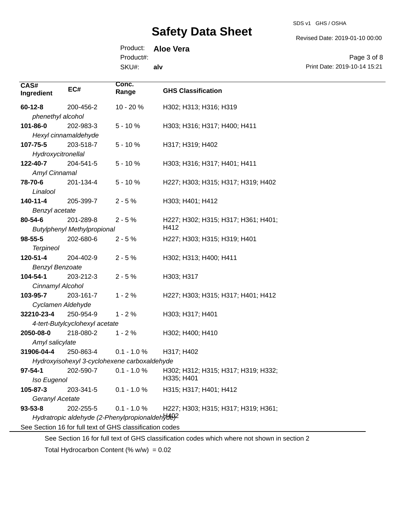SDS v1 GHS / OSHA

Revised Date: 2019-01-10 00:00

Product: **Aloe Vera**

Product#:

SKU#: **alv**

Page 3 of 8 Print Date: 2019-10-14 15:21

| CAS#<br>Ingredient                              | EC#                                | Conc.<br>Range                                           | <b>GHS Classification</b>           |
|-------------------------------------------------|------------------------------------|----------------------------------------------------------|-------------------------------------|
| $60 - 12 - 8$                                   | 200-456-2                          | 10 - 20 %                                                | H302; H313; H316; H319              |
| phenethyl alcohol                               |                                    |                                                          |                                     |
| 101-86-0                                        | 202-983-3                          | $5 - 10%$                                                | H303; H316; H317; H400; H411        |
|                                                 | Hexyl cinnamaldehyde               |                                                          |                                     |
| 107-75-5                                        | 203-518-7                          | $5 - 10%$                                                | H317; H319; H402                    |
| Hydroxycitronellal                              |                                    |                                                          |                                     |
| 122-40-7                                        | 204-541-5                          | $5 - 10%$                                                | H303; H316; H317; H401; H411        |
| Amyl Cinnamal                                   |                                    |                                                          |                                     |
| 78-70-6                                         | 201-134-4                          | $5 - 10%$                                                | H227; H303; H315; H317; H319; H402  |
| Linalool                                        |                                    |                                                          |                                     |
| $140 - 11 - 4$                                  | 205-399-7                          | $2 - 5%$                                                 | H303; H401; H412                    |
| Benzyl acetate                                  |                                    |                                                          |                                     |
| 80-54-6                                         | 201-289-8                          | $2 - 5%$                                                 | H227; H302; H315; H317; H361; H401; |
|                                                 | <b>Butylphenyl Methylpropional</b> |                                                          | H412                                |
| 98-55-5                                         | 202-680-6                          | $2 - 5%$                                                 | H227; H303; H315; H319; H401        |
| <b>Terpineol</b>                                |                                    |                                                          |                                     |
| 120-51-4                                        | 204-402-9                          | $2 - 5%$                                                 | H302; H313; H400; H411              |
| <b>Benzyl Benzoate</b>                          |                                    |                                                          |                                     |
| 104-54-1                                        | 203-212-3                          | $2 - 5%$                                                 | H303; H317                          |
| Cinnamyl Alcohol                                |                                    |                                                          |                                     |
| 103-95-7                                        | 203-161-7                          | $1 - 2%$                                                 | H227; H303; H315; H317; H401; H412  |
| Cyclamen Aldehyde                               |                                    |                                                          |                                     |
| 32210-23-4                                      | 250-954-9                          | $1 - 2%$                                                 | H303; H317; H401                    |
|                                                 | 4-tert-Butylcyclohexyl acetate     |                                                          |                                     |
| 2050-08-0                                       | 218-080-2                          | $1 - 2%$                                                 | H302; H400; H410                    |
| Amyl salicylate                                 |                                    |                                                          |                                     |
| 31906-04-4                                      | 250-863-4                          | $0.1 - 1.0 %$                                            | H317; H402                          |
| Hydroxyisohexyl 3-cyclohexene carboxaldehyde    |                                    |                                                          |                                     |
| $97 - 54 - 1$                                   | 202-590-7                          | $0.1 - 1.0 %$                                            | H302; H312; H315; H317; H319; H332; |
| Iso Eugenol                                     |                                    |                                                          | H335; H401                          |
| 105-87-3                                        | 203-341-5                          | $0.1 - 1.0 %$                                            | H315; H317; H401; H412              |
| Geranyl Acetate                                 |                                    |                                                          |                                     |
| $93 - 53 - 8$                                   | 202-255-5                          | $0.1 - 1.0 %$                                            | H227; H303; H315; H317; H319; H361; |
| Hydratropic aldehyde (2-Phenylpropionaldehyde)? |                                    |                                                          |                                     |
|                                                 |                                    | See Section 16 for full text of GHS classification codes |                                     |

See Section 16 for full text of GHS classification codes which where not shown in section 2

Total Hydrocarbon Content  $(\% w/w) = 0.02$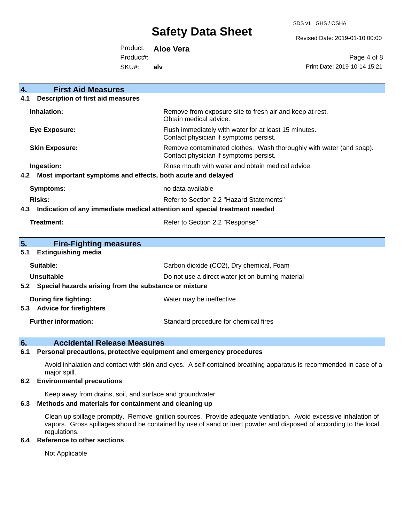SDS v1 GHS / OSHA

Revised Date: 2019-01-10 00:00

Product: **Aloe Vera** Product#:

SKU#: **alv**

Page 4 of 8 Print Date: 2019-10-14 15:21

| $\overline{4}$ .<br><b>First Aid Measures</b>                                     |                                                                                                               |  |
|-----------------------------------------------------------------------------------|---------------------------------------------------------------------------------------------------------------|--|
| <b>Description of first aid measures</b><br>4.1                                   |                                                                                                               |  |
|                                                                                   |                                                                                                               |  |
| Inhalation:                                                                       | Remove from exposure site to fresh air and keep at rest.<br>Obtain medical advice.                            |  |
| <b>Eye Exposure:</b>                                                              | Flush immediately with water for at least 15 minutes.<br>Contact physician if symptoms persist.               |  |
| <b>Skin Exposure:</b>                                                             | Remove contaminated clothes. Wash thoroughly with water (and soap).<br>Contact physician if symptoms persist. |  |
| Ingestion:                                                                        | Rinse mouth with water and obtain medical advice.                                                             |  |
| Most important symptoms and effects, both acute and delayed<br>4.2                |                                                                                                               |  |
| <b>Symptoms:</b>                                                                  | no data available                                                                                             |  |
| Risks:                                                                            | Refer to Section 2.2 "Hazard Statements"                                                                      |  |
| Indication of any immediate medical attention and special treatment needed<br>4.3 |                                                                                                               |  |
| Treatment:                                                                        | Refer to Section 2.2 "Response"                                                                               |  |
|                                                                                   |                                                                                                               |  |
| 5.<br><b>Fire-Fighting measures</b>                                               |                                                                                                               |  |
| <b>Extinguishing media</b><br>5.1                                                 |                                                                                                               |  |
| Suitable:                                                                         | Carbon dioxide (CO2), Dry chemical, Foam                                                                      |  |
| <b>Unsuitable</b>                                                                 | Do not use a direct water jet on burning material                                                             |  |
| Special hazards arising from the substance or mixture<br>5.2                      |                                                                                                               |  |
| <b>During fire fighting:</b>                                                      | Water may be ineffective                                                                                      |  |
| <b>Advice for firefighters</b><br>5.3                                             |                                                                                                               |  |
| <b>Further information:</b>                                                       | Standard procedure for chemical fires                                                                         |  |

### **6. Accidental Release Measures**

#### **6.1 Personal precautions, protective equipment and emergency procedures**

Avoid inhalation and contact with skin and eyes. A self-contained breathing apparatus is recommended in case of a major spill.

#### **6.2 Environmental precautions**

Keep away from drains, soil, and surface and groundwater.

#### **6.3 Methods and materials for containment and cleaning up**

Clean up spillage promptly. Remove ignition sources. Provide adequate ventilation. Avoid excessive inhalation of vapors. Gross spillages should be contained by use of sand or inert powder and disposed of according to the local regulations.

#### **6.4 Reference to other sections**

Not Applicable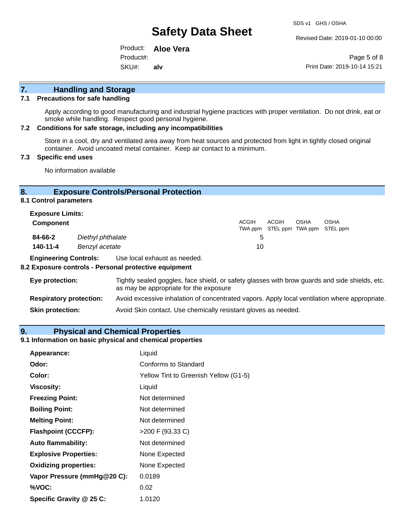Revised Date: 2019-01-10 00:00

Product: **Aloe Vera** SKU#: Product#: **alv**

Page 5 of 8 Print Date: 2019-10-14 15:21

# **7. Handling and Storage**

#### **7.1 Precautions for safe handling**

Apply according to good manufacturing and industrial hygiene practices with proper ventilation. Do not drink, eat or smoke while handling. Respect good personal hygiene.

#### **7.2 Conditions for safe storage, including any incompatibilities**

Store in a cool, dry and ventilated area away from heat sources and protected from light in tightly closed original container. Avoid uncoated metal container. Keep air contact to a minimum.

#### **7.3 Specific end uses**

No information available

#### **8. Exposure Controls/Personal Protection**

**8.1 Control parameters**

| <b>Exposure Limits:</b> |                   |              |                                            |             |             |
|-------------------------|-------------------|--------------|--------------------------------------------|-------------|-------------|
| <b>Component</b>        |                   | <b>ACGIH</b> | ACGIH<br>TWA ppm STEL ppm TWA ppm STEL ppm | <b>OSHA</b> | <b>OSHA</b> |
| 84-66-2                 | Diethyl phthalate |              |                                            |             |             |
| 140-11-4                | Benzyl acetate    | 10           |                                            |             |             |

**Engineering Controls:** Use local exhaust as needed.

#### **8.2 Exposure controls - Personal protective equipment**

| Eye protection:                | Tightly sealed goggles, face shield, or safety glasses with brow guards and side shields, etc.<br>as may be appropriate for the exposure |
|--------------------------------|------------------------------------------------------------------------------------------------------------------------------------------|
| <b>Respiratory protection:</b> | Avoid excessive inhalation of concentrated vapors. Apply local ventilation where appropriate.                                            |
| <b>Skin protection:</b>        | Avoid Skin contact. Use chemically resistant gloves as needed.                                                                           |

#### **9. Physical and Chemical Properties**

#### **9.1 Information on basic physical and chemical properties**

| Appearance:                  | Liquid                                |
|------------------------------|---------------------------------------|
| Odor:                        | Conforms to Standard                  |
| Color:                       | Yellow Tint to Greenish Yellow (G1-5) |
| <b>Viscosity:</b>            | Liquid                                |
| <b>Freezing Point:</b>       | Not determined                        |
| <b>Boiling Point:</b>        | Not determined                        |
| <b>Melting Point:</b>        | Not determined                        |
| <b>Flashpoint (CCCFP):</b>   | >200 F (93.33 C)                      |
| <b>Auto flammability:</b>    | Not determined                        |
| <b>Explosive Properties:</b> | None Expected                         |
| <b>Oxidizing properties:</b> | None Expected                         |
| Vapor Pressure (mmHg@20 C):  | 0.0189                                |
| %VOC:                        | 0.02                                  |
| Specific Gravity @ 25 C:     | 1.0120                                |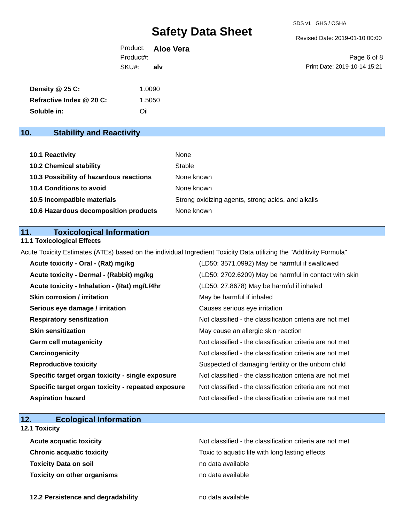Revised Date: 2019-01-10 00:00

Product: **Aloe Vera** SKU#: Product#: **alv**

Page 6 of 8 Print Date: 2019-10-14 15:21

| Density @ 25 C:          | 1.0090 |
|--------------------------|--------|
| Refractive Index @ 20 C: | 1.5050 |
| Soluble in:              | Oil    |

# **10. Stability and Reactivity**

| 10.1 Reactivity                         | None                                               |
|-----------------------------------------|----------------------------------------------------|
| <b>10.2 Chemical stability</b>          | Stable                                             |
| 10.3 Possibility of hazardous reactions | None known                                         |
| <b>10.4 Conditions to avoid</b>         | None known                                         |
| 10.5 Incompatible materials             | Strong oxidizing agents, strong acids, and alkalis |
| 10.6 Hazardous decomposition products   | None known                                         |

#### **11. Toxicological Information**

#### **11.1 Toxicological Effects**

Acute Toxicity Estimates (ATEs) based on the individual Ingredient Toxicity Data utilizing the "Additivity Formula"

| Acute toxicity - Oral - (Rat) mg/kg                | (LD50: 3571.0992) May be harmful if swallowed            |
|----------------------------------------------------|----------------------------------------------------------|
| Acute toxicity - Dermal - (Rabbit) mg/kg           | (LD50: 2702.6209) May be harmful in contact with skin    |
| Acute toxicity - Inhalation - (Rat) mg/L/4hr       | (LD50: 27.8678) May be harmful if inhaled                |
| <b>Skin corrosion / irritation</b>                 | May be harmful if inhaled                                |
| Serious eye damage / irritation                    | Causes serious eye irritation                            |
| <b>Respiratory sensitization</b>                   | Not classified - the classification criteria are not met |
| <b>Skin sensitization</b>                          | May cause an allergic skin reaction                      |
| <b>Germ cell mutagenicity</b>                      | Not classified - the classification criteria are not met |
| Carcinogenicity                                    | Not classified - the classification criteria are not met |
| <b>Reproductive toxicity</b>                       | Suspected of damaging fertility or the unborn child      |
| Specific target organ toxicity - single exposure   | Not classified - the classification criteria are not met |
| Specific target organ toxicity - repeated exposure | Not classified - the classification criteria are not met |
| <b>Aspiration hazard</b>                           | Not classified - the classification criteria are not met |

# **12. Ecological Information**

### **12.1 Toxicity**

| <b>Acute acquatic toxicity</b>     | Not classified - the classification criteria are not met |
|------------------------------------|----------------------------------------------------------|
| <b>Chronic acquatic toxicity</b>   | Toxic to aquatic life with long lasting effects          |
| <b>Toxicity Data on soil</b>       | no data available                                        |
| <b>Toxicity on other organisms</b> | no data available                                        |

**12.2 Persistence and degradability no data available**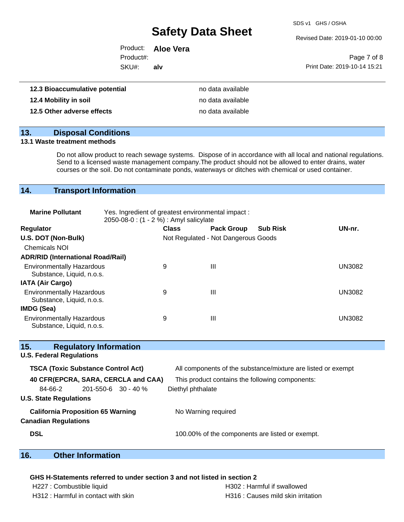SDS v1 GHS / OSHA

Revised Date: 2019-01-10 00:00

|           | Product: <b>Aloe Vera</b> |                              |
|-----------|---------------------------|------------------------------|
| Product#: |                           | Page 7 of 8                  |
| SKU#:     | alv                       | Print Date: 2019-10-14 15:21 |
|           |                           |                              |

| 12.3 Bioaccumulative potential | no data available |
|--------------------------------|-------------------|
| 12.4 Mobility in soil          | no data available |
| 12.5 Other adverse effects     | no data available |

### **13. Disposal Conditions**

#### **13.1 Waste treatment methods**

Do not allow product to reach sewage systems. Dispose of in accordance with all local and national regulations. Send to a licensed waste management company.The product should not be allowed to enter drains, water courses or the soil. Do not contaminate ponds, waterways or ditches with chemical or used container.

### **14. Transport Information**

| <b>Marine Pollutant</b>                                       | Yes. Ingredient of greatest environmental impact:<br>2050-08-0 : (1 - 2 %) : Amyl salicylate |              |                                     |                 |               |
|---------------------------------------------------------------|----------------------------------------------------------------------------------------------|--------------|-------------------------------------|-----------------|---------------|
| Regulator                                                     |                                                                                              | <b>Class</b> | <b>Pack Group</b>                   | <b>Sub Risk</b> | UN-nr.        |
| U.S. DOT (Non-Bulk)                                           |                                                                                              |              | Not Regulated - Not Dangerous Goods |                 |               |
| <b>Chemicals NOI</b>                                          |                                                                                              |              |                                     |                 |               |
| <b>ADR/RID (International Road/Rail)</b>                      |                                                                                              |              |                                     |                 |               |
| <b>Environmentally Hazardous</b><br>Substance, Liquid, n.o.s. |                                                                                              | 9            | Ш                                   |                 | <b>UN3082</b> |
| <b>IATA (Air Cargo)</b>                                       |                                                                                              |              |                                     |                 |               |
| <b>Environmentally Hazardous</b><br>Substance, Liquid, n.o.s. |                                                                                              | 9            | Ш                                   |                 | <b>UN3082</b> |
| IMDG (Sea)                                                    |                                                                                              |              |                                     |                 |               |
| <b>Environmentally Hazardous</b><br>Substance, Liquid, n.o.s. |                                                                                              | 9            | Ш                                   |                 | <b>UN3082</b> |

| <b>U.S. Federal Regulations</b> |                                           |                                                              |
|---------------------------------|-------------------------------------------|--------------------------------------------------------------|
|                                 | <b>TSCA (Toxic Substance Control Act)</b> | All components of the substance/mixture are listed or exempt |
|                                 | 40 CFR(EPCRA, SARA, CERCLA and CAA)       | This product contains the following components:              |
| 84-66-2                         | $201 - 550 - 6$ 30 - 40 %                 | Diethyl phthalate                                            |
| <b>U.S. State Regulations</b>   |                                           |                                                              |
|                                 | <b>California Proposition 65 Warning</b>  | No Warning required                                          |
| <b>Canadian Regulations</b>     |                                           |                                                              |
| <b>DSL</b>                      |                                           | 100.00% of the components are listed or exempt.              |
|                                 |                                           |                                                              |

### **16. Other Information**

#### **GHS H-Statements referred to under section 3 and not listed in section 2**

**15. Regulatory Information**